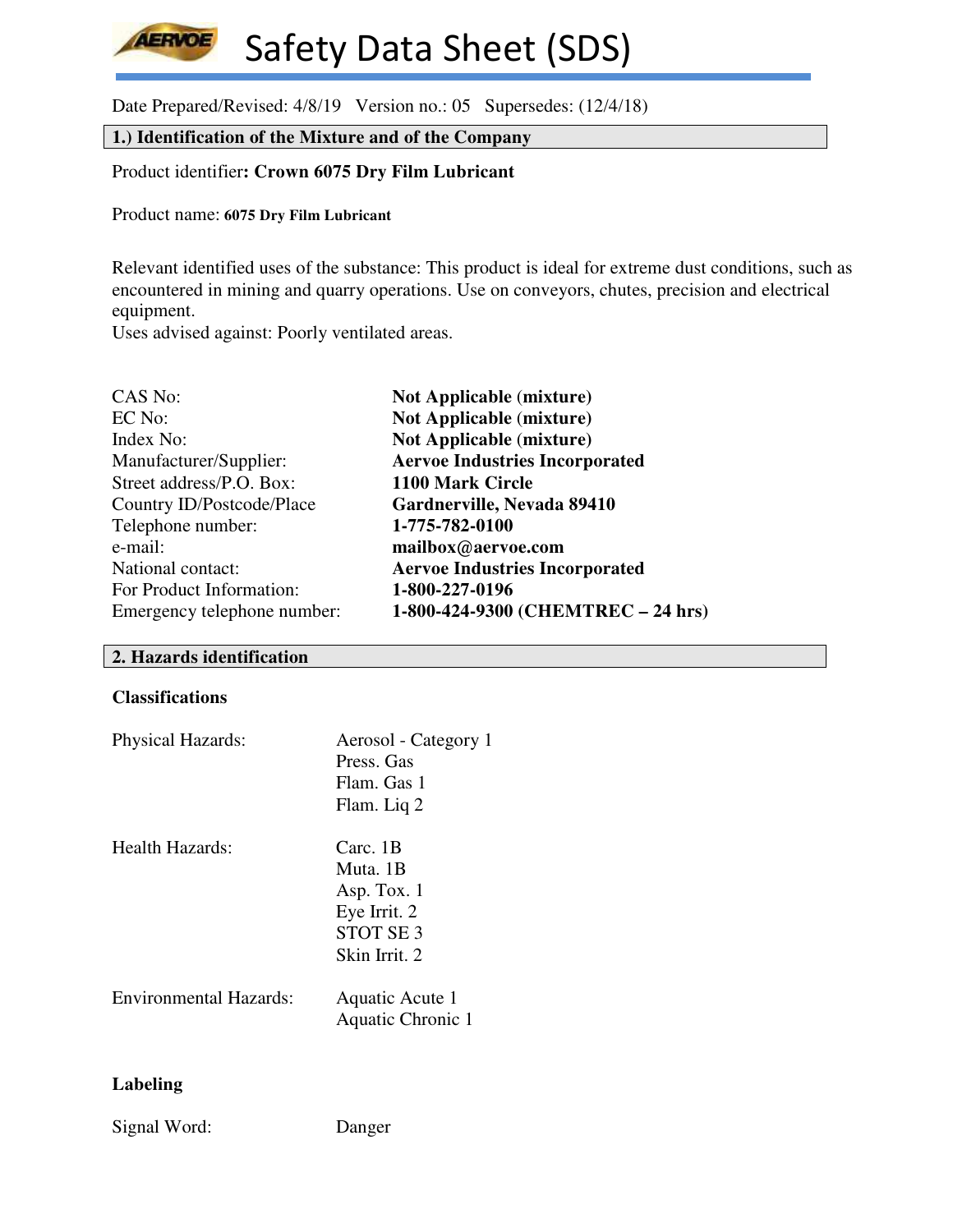**AERVOE** Safety Data Sheet (SDS)

Date Prepared/Revised: 4/8/19 Version no.: 05 Supersedes: (12/4/18)

**1.) Identification of the Mixture and of the Company**

Product identifier**: Crown 6075 Dry Film Lubricant**

Product name: **6075 Dry Film Lubricant** 

Relevant identified uses of the substance: This product is ideal for extreme dust conditions, such as encountered in mining and quarry operations. Use on conveyors, chutes, precision and electrical equipment.

Uses advised against: Poorly ventilated areas.

| CAS No:                     | <b>Not Applicable (mixture)</b>       |
|-----------------------------|---------------------------------------|
| EC No:                      | <b>Not Applicable (mixture)</b>       |
| Index No:                   | <b>Not Applicable (mixture)</b>       |
| Manufacturer/Supplier:      | <b>Aervoe Industries Incorporated</b> |
| Street address/P.O. Box:    | 1100 Mark Circle                      |
| Country ID/Postcode/Place   | Gardnerville, Nevada 89410            |
| Telephone number:           | 1-775-782-0100                        |
| e-mail:                     | mailbox@aervoe.com                    |
| National contact:           | <b>Aervoe Industries Incorporated</b> |
| For Product Information:    | 1-800-227-0196                        |
| Emergency telephone number: | 1-800-424-9300 (CHEMTREC - 24 hrs)    |

#### **2. Hazards identification**

#### **Classifications**

| <b>Physical Hazards:</b> | Aerosol - Category 1<br>Press. Gas<br>Flam. Gas 1<br>Flam. Liq 2                            |
|--------------------------|---------------------------------------------------------------------------------------------|
| Health Hazards:          | Carc. 1B<br>Muta 1B<br>Asp. Tox. 1<br>Eye Irrit. 2<br>STOT SE <sub>3</sub><br>Skin Irrit. 2 |
| Environmental Hazards:   | Aquatic Acute 1<br>Aquatic Chronic 1                                                        |

## **Labeling**

Signal Word: Danger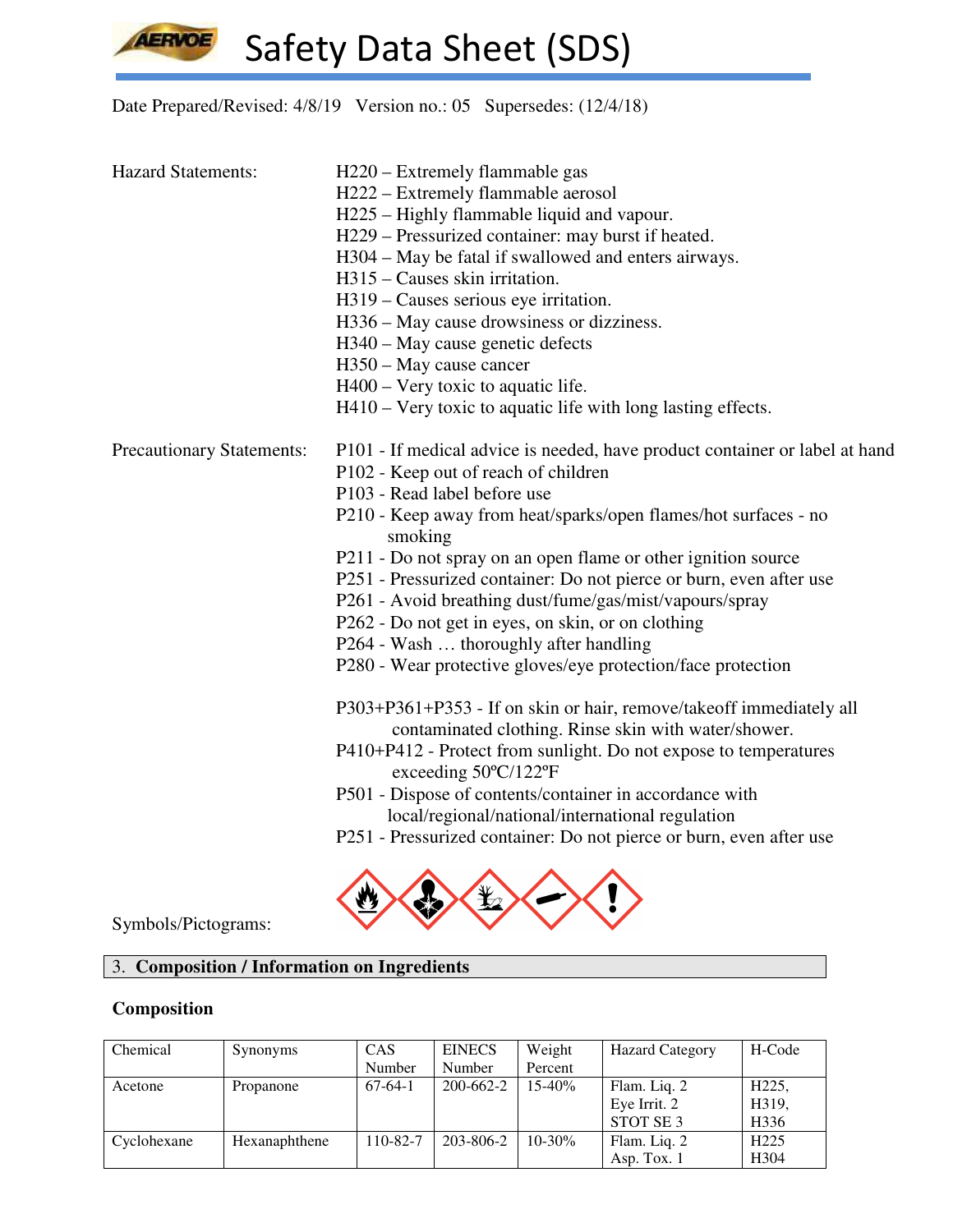**AERVOE** 

Safety Data Sheet (SDS)

# Date Prepared/Revised: 4/8/19 Version no.: 05 Supersedes: (12/4/18)

| <b>Hazard Statements:</b>        | H220 – Extremely flammable gas                                                                                              |  |  |  |  |  |
|----------------------------------|-----------------------------------------------------------------------------------------------------------------------------|--|--|--|--|--|
|                                  | H222 – Extremely flammable aerosol                                                                                          |  |  |  |  |  |
|                                  | H225 – Highly flammable liquid and vapour.                                                                                  |  |  |  |  |  |
|                                  | H229 – Pressurized container: may burst if heated.                                                                          |  |  |  |  |  |
|                                  | H304 - May be fatal if swallowed and enters airways.                                                                        |  |  |  |  |  |
|                                  | $H315$ – Causes skin irritation.                                                                                            |  |  |  |  |  |
|                                  | H319 – Causes serious eye irritation.                                                                                       |  |  |  |  |  |
|                                  | H336 – May cause drowsiness or dizziness.                                                                                   |  |  |  |  |  |
|                                  | H340 – May cause genetic defects                                                                                            |  |  |  |  |  |
|                                  | H350 – May cause cancer                                                                                                     |  |  |  |  |  |
|                                  | $H400 - Very$ toxic to aquatic life.                                                                                        |  |  |  |  |  |
|                                  | H410 – Very toxic to aquatic life with long lasting effects.                                                                |  |  |  |  |  |
| <b>Precautionary Statements:</b> | P101 - If medical advice is needed, have product container or label at hand                                                 |  |  |  |  |  |
|                                  | P102 - Keep out of reach of children                                                                                        |  |  |  |  |  |
|                                  | P103 - Read label before use                                                                                                |  |  |  |  |  |
|                                  | P210 - Keep away from heat/sparks/open flames/hot surfaces - no<br>smoking                                                  |  |  |  |  |  |
|                                  | P211 - Do not spray on an open flame or other ignition source                                                               |  |  |  |  |  |
|                                  | P251 - Pressurized container: Do not pierce or burn, even after use                                                         |  |  |  |  |  |
|                                  | P261 - Avoid breathing dust/fume/gas/mist/vapours/spray                                                                     |  |  |  |  |  |
|                                  | P262 - Do not get in eyes, on skin, or on clothing                                                                          |  |  |  |  |  |
|                                  | P264 - Wash  thoroughly after handling                                                                                      |  |  |  |  |  |
|                                  | P280 - Wear protective gloves/eye protection/face protection                                                                |  |  |  |  |  |
|                                  | P303+P361+P353 - If on skin or hair, remove/takeoff immediately all<br>contaminated clothing. Rinse skin with water/shower. |  |  |  |  |  |
|                                  | P410+P412 - Protect from sunlight. Do not expose to temperatures<br>exceeding $50^{\circ}$ C/122°F                          |  |  |  |  |  |
|                                  | P501 - Dispose of contents/container in accordance with<br>local/regional/national/international regulation                 |  |  |  |  |  |
|                                  |                                                                                                                             |  |  |  |  |  |



Symbols/Pictograms:

## 3. **Composition / Information on Ingredients**

## **Composition**

| Chemical    | Synonyms      | <b>CAS</b> | <b>EINECS</b> | Weight      | <b>Hazard Category</b> | H-Code             |
|-------------|---------------|------------|---------------|-------------|------------------------|--------------------|
|             |               | Number     | Number        | Percent     |                        |                    |
| Acetone     | Propanone     | $67-64-1$  | 200-662-2     | $15 - 40%$  | Flam. Liq. 2           | H <sub>225</sub> , |
|             |               |            |               |             | Eye Irrit. 2           | H319,              |
|             |               |            |               |             | STOT SE <sub>3</sub>   | H <sub>3</sub> 36  |
| Cyclohexane | Hexanaphthene | 110-82-7   | 203-806-2     | $10 - 30\%$ | Flam. Liq. 2           | H <sub>225</sub>   |
|             |               |            |               |             | Asp. Tox. $1$          | H <sub>304</sub>   |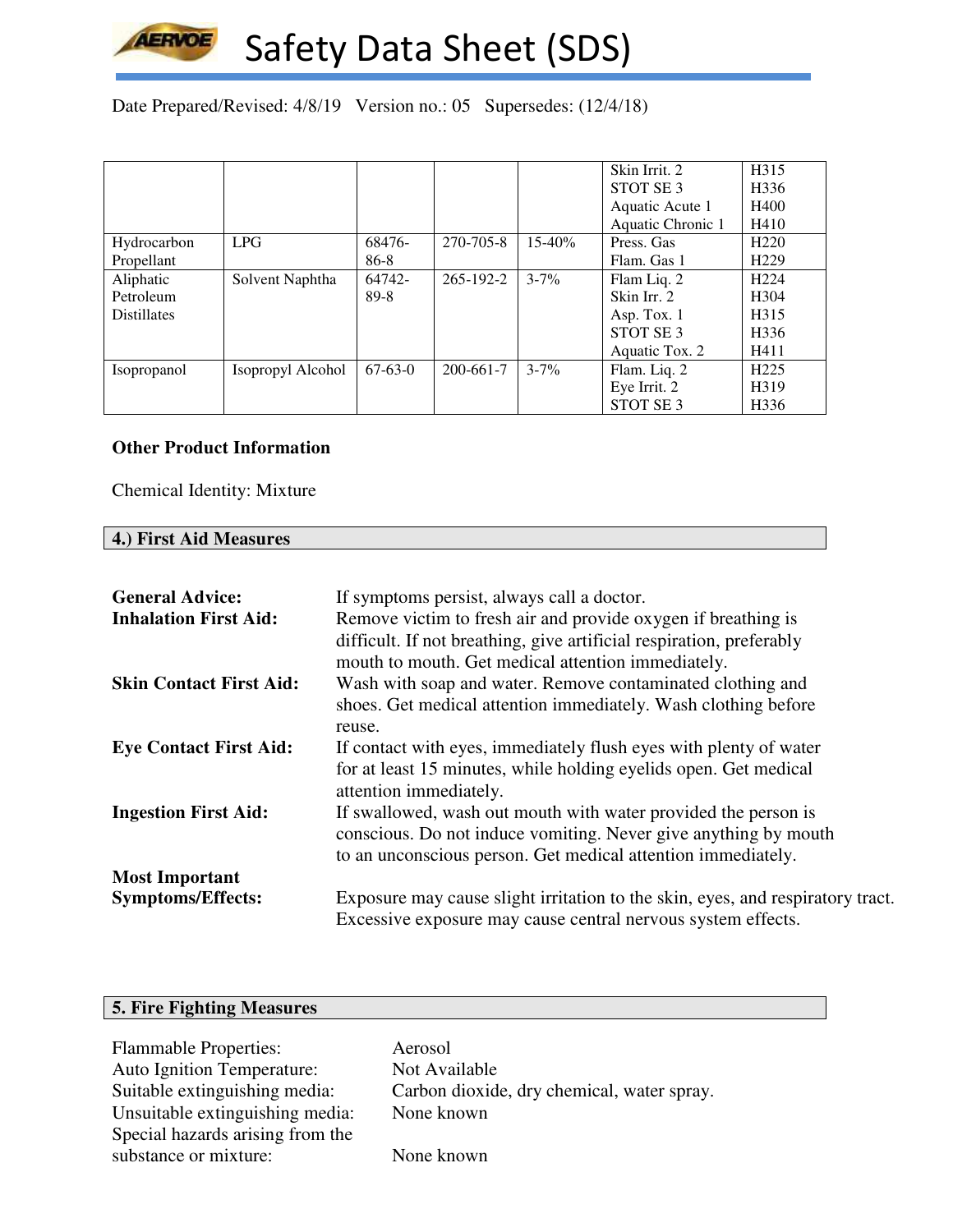

Date Prepared/Revised: 4/8/19 Version no.: 05 Supersedes: (12/4/18)

|                    |                   |           |           |            | Skin Irrit. 2        | H315              |
|--------------------|-------------------|-----------|-----------|------------|----------------------|-------------------|
|                    |                   |           |           |            | STOT SE <sub>3</sub> | H <sub>336</sub>  |
|                    |                   |           |           |            | Aquatic Acute 1      | H400              |
|                    |                   |           |           |            | Aquatic Chronic 1    | H410              |
| Hydrocarbon        | <b>LPG</b>        | 68476-    | 270-705-8 | $15 - 40%$ | Press. Gas           | H <sub>220</sub>  |
| Propellant         |                   | 86-8      |           |            | Flam. Gas 1          | H <sub>229</sub>  |
| Aliphatic          | Solvent Naphtha   | 64742-    | 265-192-2 | $3 - 7\%$  | Flam Liq. 2          | H <sub>224</sub>  |
| Petroleum          |                   | 89-8      |           |            | Skin Irr. 2          | H <sub>304</sub>  |
| <b>Distillates</b> |                   |           |           |            | Asp. Tox. 1          | H <sub>3</sub> 15 |
|                    |                   |           |           |            | STOT SE <sub>3</sub> | H <sub>336</sub>  |
|                    |                   |           |           |            | Aquatic Tox. 2       | H411              |
| Isopropanol        | Isopropyl Alcohol | $67-63-0$ | 200-661-7 | $3 - 7\%$  | Flam. Liq. 2         | H <sub>225</sub>  |
|                    |                   |           |           |            | Eye Irrit. 2         | H319              |
|                    |                   |           |           |            | STOT SE3             | H <sub>336</sub>  |

#### **Other Product Information**

Chemical Identity: Mixture

#### **4.) First Aid Measures**

| <b>General Advice:</b><br><b>Inhalation First Aid:</b> | If symptoms persist, always call a doctor.<br>Remove victim to fresh air and provide oxygen if breathing is<br>difficult. If not breathing, give artificial respiration, preferably<br>mouth to mouth. Get medical attention immediately. |
|--------------------------------------------------------|-------------------------------------------------------------------------------------------------------------------------------------------------------------------------------------------------------------------------------------------|
| <b>Skin Contact First Aid:</b>                         | Wash with soap and water. Remove contaminated clothing and<br>shoes. Get medical attention immediately. Wash clothing before<br>reuse.                                                                                                    |
| <b>Eye Contact First Aid:</b>                          | If contact with eyes, immediately flush eyes with plenty of water<br>for at least 15 minutes, while holding eyelids open. Get medical<br>attention immediately.                                                                           |
| <b>Ingestion First Aid:</b>                            | If swallowed, wash out mouth with water provided the person is<br>conscious. Do not induce vomiting. Never give anything by mouth<br>to an unconscious person. Get medical attention immediately.                                         |
| <b>Most Important</b>                                  |                                                                                                                                                                                                                                           |
| <b>Symptoms/Effects:</b>                               | Exposure may cause slight irritation to the skin, eyes, and respiratory tract.<br>Excessive exposure may cause central nervous system effects.                                                                                            |

## **5. Fire Fighting Measures**

Flammable Properties: Aerosol Auto Ignition Temperature: Not Available<br>Suitable extinguishing media: Carbon dioxide Unsuitable extinguishing media: Special hazards arising from the substance or mixture: None known

Carbon dioxide, dry chemical, water spray.<br>None known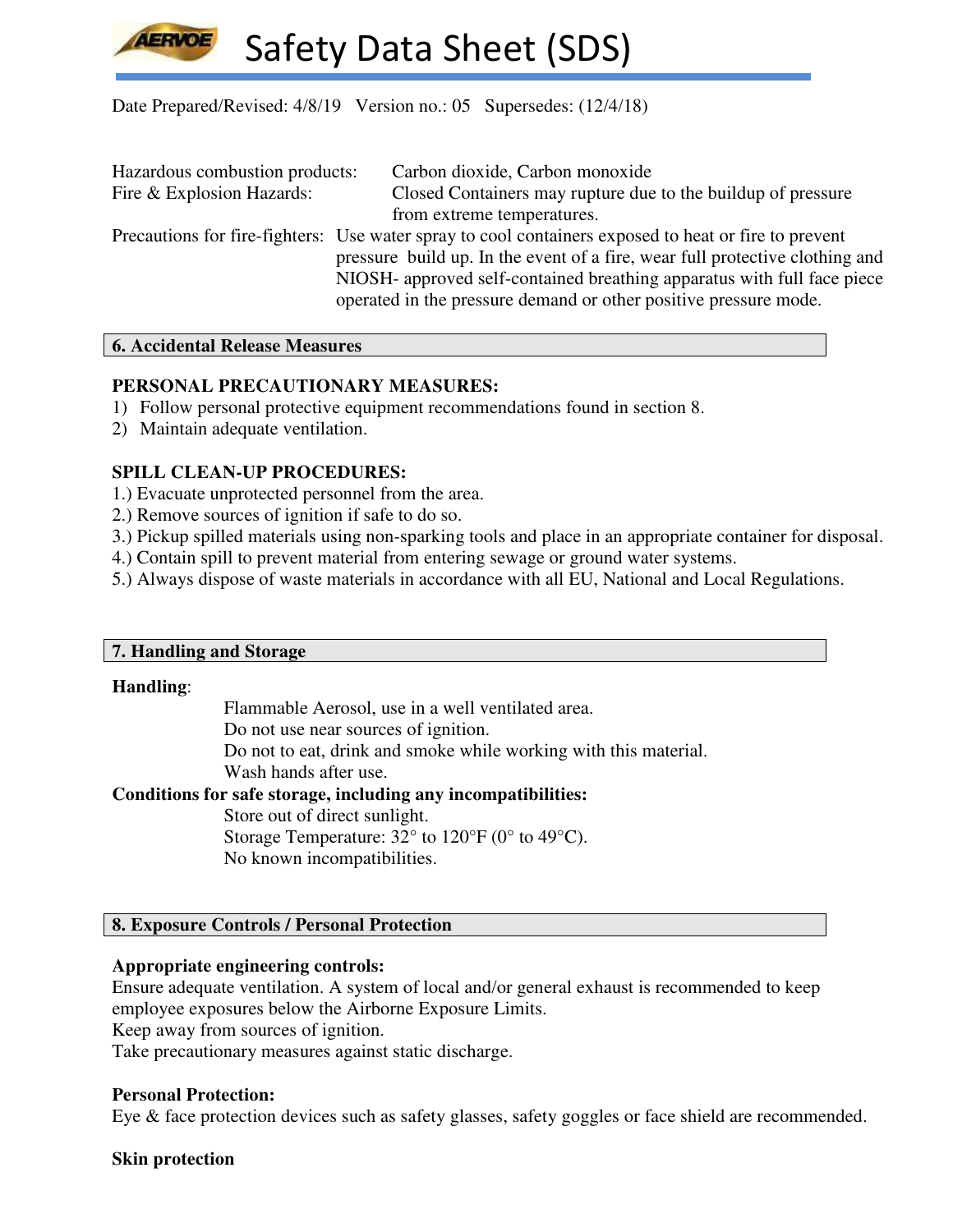

Date Prepared/Revised: 4/8/19 Version no.: 05 Supersedes: (12/4/18)

| Hazardous combustion products: | Carbon dioxide, Carbon monoxide                                                                                                                                                                                                                                                                                                     |
|--------------------------------|-------------------------------------------------------------------------------------------------------------------------------------------------------------------------------------------------------------------------------------------------------------------------------------------------------------------------------------|
| Fire & Explosion Hazards:      | Closed Containers may rupture due to the buildup of pressure                                                                                                                                                                                                                                                                        |
|                                | from extreme temperatures.                                                                                                                                                                                                                                                                                                          |
|                                | Precautions for fire-fighters: Use water spray to cool containers exposed to heat or fire to prevent<br>pressure build up. In the event of a fire, wear full protective clothing and<br>NIOSH- approved self-contained breathing apparatus with full face piece<br>operated in the pressure demand or other positive pressure mode. |

#### **6. Accidental Release Measures**

## **PERSONAL PRECAUTIONARY MEASURES:**

- 1) Follow personal protective equipment recommendations found in section 8.
- 2) Maintain adequate ventilation.

## **SPILL CLEAN-UP PROCEDURES:**

- 1.) Evacuate unprotected personnel from the area.
- 2.) Remove sources of ignition if safe to do so.
- 3.) Pickup spilled materials using non-sparking tools and place in an appropriate container for disposal.
- 4.) Contain spill to prevent material from entering sewage or ground water systems.
- 5.) Always dispose of waste materials in accordance with all EU, National and Local Regulations.

## **7. Handling and Storage**

#### **Handling**:

Flammable Aerosol, use in a well ventilated area.

Do not use near sources of ignition.

Do not to eat, drink and smoke while working with this material.

Wash hands after use.

## **Conditions for safe storage, including any incompatibilities:**

Store out of direct sunlight. Storage Temperature: 32° to 120°F (0° to 49°C). No known incompatibilities.

## **8. Exposure Controls / Personal Protection**

## **Appropriate engineering controls:**

Ensure adequate ventilation. A system of local and/or general exhaust is recommended to keep employee exposures below the Airborne Exposure Limits. Keep away from sources of ignition.

Take precautionary measures against static discharge.

## **Personal Protection:**

Eye & face protection devices such as safety glasses, safety goggles or face shield are recommended.

## **Skin protection**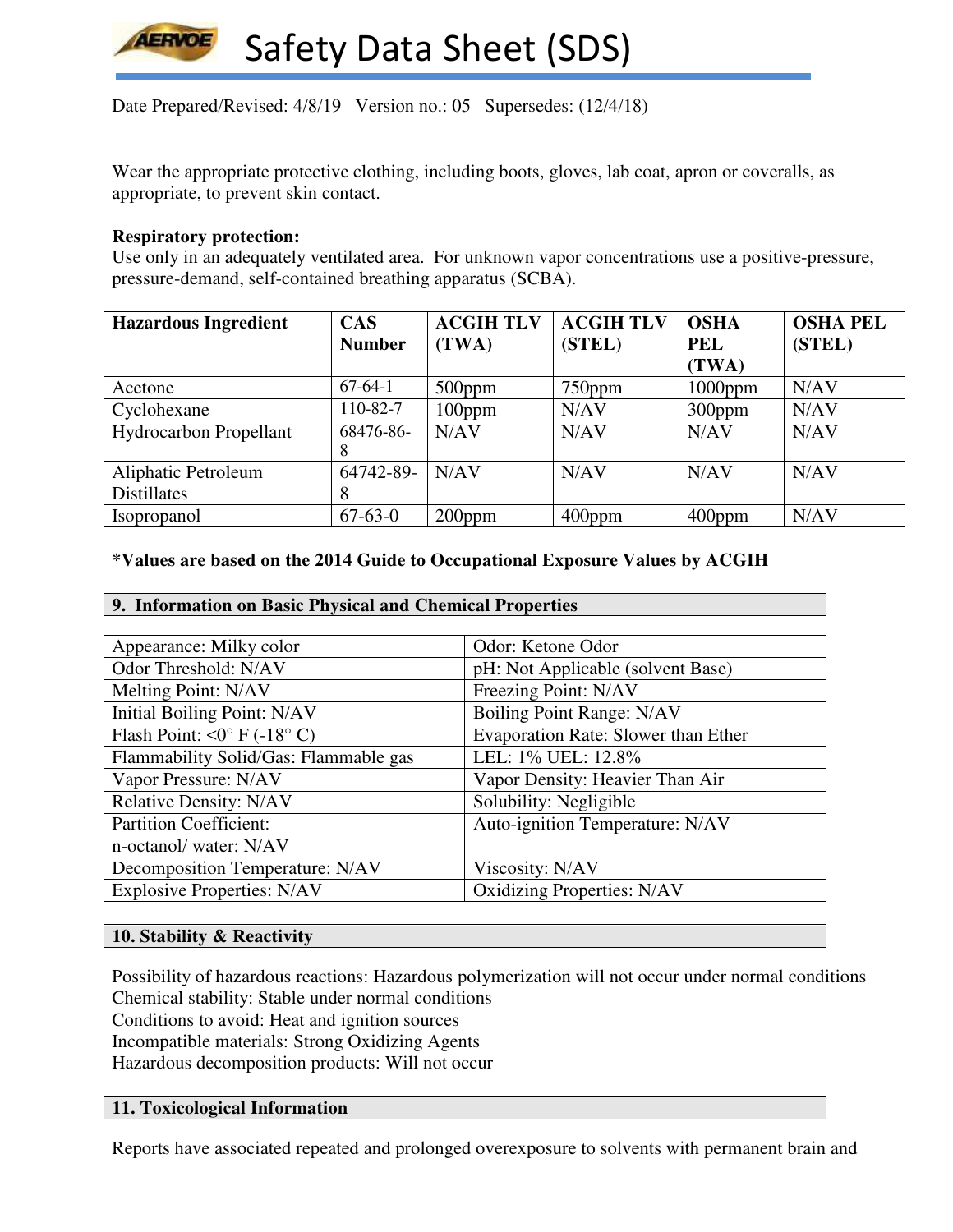

Date Prepared/Revised: 4/8/19 Version no.: 05 Supersedes: (12/4/18)

Wear the appropriate protective clothing, including boots, gloves, lab coat, apron or coveralls, as appropriate, to prevent skin contact.

#### **Respiratory protection:**

Use only in an adequately ventilated area. For unknown vapor concentrations use a positive-pressure, pressure-demand, self-contained breathing apparatus (SCBA).

| <b>Hazardous Ingredient</b>   | <b>CAS</b>    | <b>ACGIH TLV</b> | <b>ACGIH TLV</b> | <b>OSHA</b> | <b>OSHA PEL</b> |
|-------------------------------|---------------|------------------|------------------|-------------|-----------------|
|                               | <b>Number</b> | (TWA)            | (STEL)           | <b>PEL</b>  | (STEL)          |
|                               |               |                  |                  | (TWA)       |                 |
| Acetone                       | $67-64-1$     | $500$ ppm        | $750$ ppm        | $1000$ ppm  | N/AV            |
| Cyclohexane                   | 110-82-7      | $100$ ppm        | N/AV             | $300$ ppm   | N/AV            |
| <b>Hydrocarbon Propellant</b> | 68476-86-     | N/AV             | N/AV             | N/AV        | N/AV            |
|                               | 8             |                  |                  |             |                 |
| Aliphatic Petroleum           | 64742-89-     | N/AV             | N/AV             | N/AV        | N/AV            |
| <b>Distillates</b>            | 8             |                  |                  |             |                 |
| <i>Isopropanol</i>            | $67-63-0$     | $200$ ppm        | $400$ ppm        | $400$ ppm   | N/AV            |

#### **\*Values are based on the 2014 Guide to Occupational Exposure Values by ACGIH**

| 9. Information on Basic Physical and Chemical Properties |  |  |
|----------------------------------------------------------|--|--|
|                                                          |  |  |

| Appearance: Milky color                     | Odor: Ketone Odor                          |
|---------------------------------------------|--------------------------------------------|
| Odor Threshold: N/AV                        | pH: Not Applicable (solvent Base)          |
| Melting Point: N/AV                         | Freezing Point: N/AV                       |
| Initial Boiling Point: N/AV                 | Boiling Point Range: N/AV                  |
| Flash Point: $\langle 0^{\circ}$ F (-18° C) | <b>Evaporation Rate: Slower than Ether</b> |
| Flammability Solid/Gas: Flammable gas       | LEL: 1% UEL: 12.8%                         |
| Vapor Pressure: N/AV                        | Vapor Density: Heavier Than Air            |
| <b>Relative Density: N/AV</b>               | Solubility: Negligible                     |
| <b>Partition Coefficient:</b>               | Auto-ignition Temperature: N/AV            |
| n-octanol/ water: N/AV                      |                                            |
| Decomposition Temperature: N/AV             | Viscosity: N/AV                            |
| <b>Explosive Properties: N/AV</b>           | <b>Oxidizing Properties: N/AV</b>          |

#### **10. Stability & Reactivity**

Possibility of hazardous reactions: Hazardous polymerization will not occur under normal conditions Chemical stability: Stable under normal conditions Conditions to avoid: Heat and ignition sources Incompatible materials: Strong Oxidizing Agents Hazardous decomposition products: Will not occur

#### **11. Toxicological Information**

Reports have associated repeated and prolonged overexposure to solvents with permanent brain and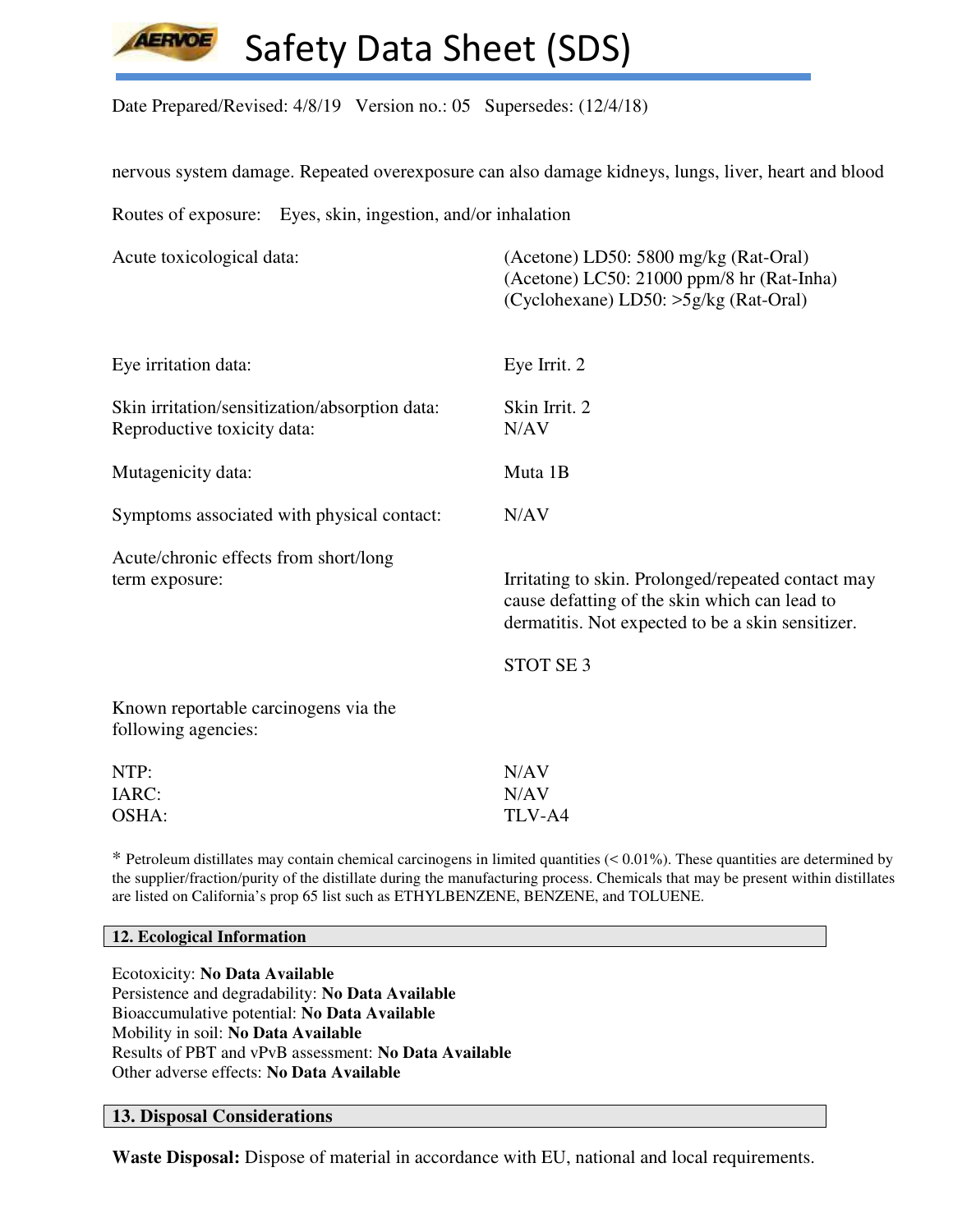

Date Prepared/Revised: 4/8/19 Version no.: 05 Supersedes: (12/4/18)

nervous system damage. Repeated overexposure can also damage kidneys, lungs, liver, heart and blood

Routes of exposure: Eyes, skin, ingestion, and/or inhalation

| Acute toxicological data:                                                     | (Acetone) LD50: 5800 mg/kg (Rat-Oral)<br>(Acetone) LC50: 21000 ppm/8 hr (Rat-Inha)<br>(Cyclohexane) LD50: >5g/kg (Rat-Oral)                              |
|-------------------------------------------------------------------------------|----------------------------------------------------------------------------------------------------------------------------------------------------------|
| Eye irritation data:                                                          | Eye Irrit. 2                                                                                                                                             |
| Skin irritation/sensitization/absorption data:<br>Reproductive toxicity data: | Skin Irrit. 2<br>N/AV                                                                                                                                    |
| Mutagenicity data:                                                            | Muta 1B                                                                                                                                                  |
| Symptoms associated with physical contact:                                    | N/AV                                                                                                                                                     |
| Acute/chronic effects from short/long<br>term exposure:                       | Irritating to skin. Prolonged/repeated contact may<br>cause defatting of the skin which can lead to<br>dermatitis. Not expected to be a skin sensitizer. |
|                                                                               | STOT SE <sub>3</sub>                                                                                                                                     |
| Known reportable carcinogens via the<br>following agencies:                   |                                                                                                                                                          |
| NTP:<br>IARC:<br>OSHA:                                                        | N/AV<br>N/AV<br>TLV-A4                                                                                                                                   |
|                                                                               |                                                                                                                                                          |

\* Petroleum distillates may contain chemical carcinogens in limited quantities (< 0.01%). These quantities are determined by the supplier/fraction/purity of the distillate during the manufacturing process. Chemicals that may be present within distillates are listed on California's prop 65 list such as ETHYLBENZENE, BENZENE, and TOLUENE.

#### **12. Ecological Information**

Ecotoxicity: **No Data Available** Persistence and degradability: **No Data Available** Bioaccumulative potential: **No Data Available** Mobility in soil: **No Data Available** Results of PBT and vPvB assessment: **No Data Available** Other adverse effects: **No Data Available**

### **13. Disposal Considerations**

**Waste Disposal:** Dispose of material in accordance with EU, national and local requirements.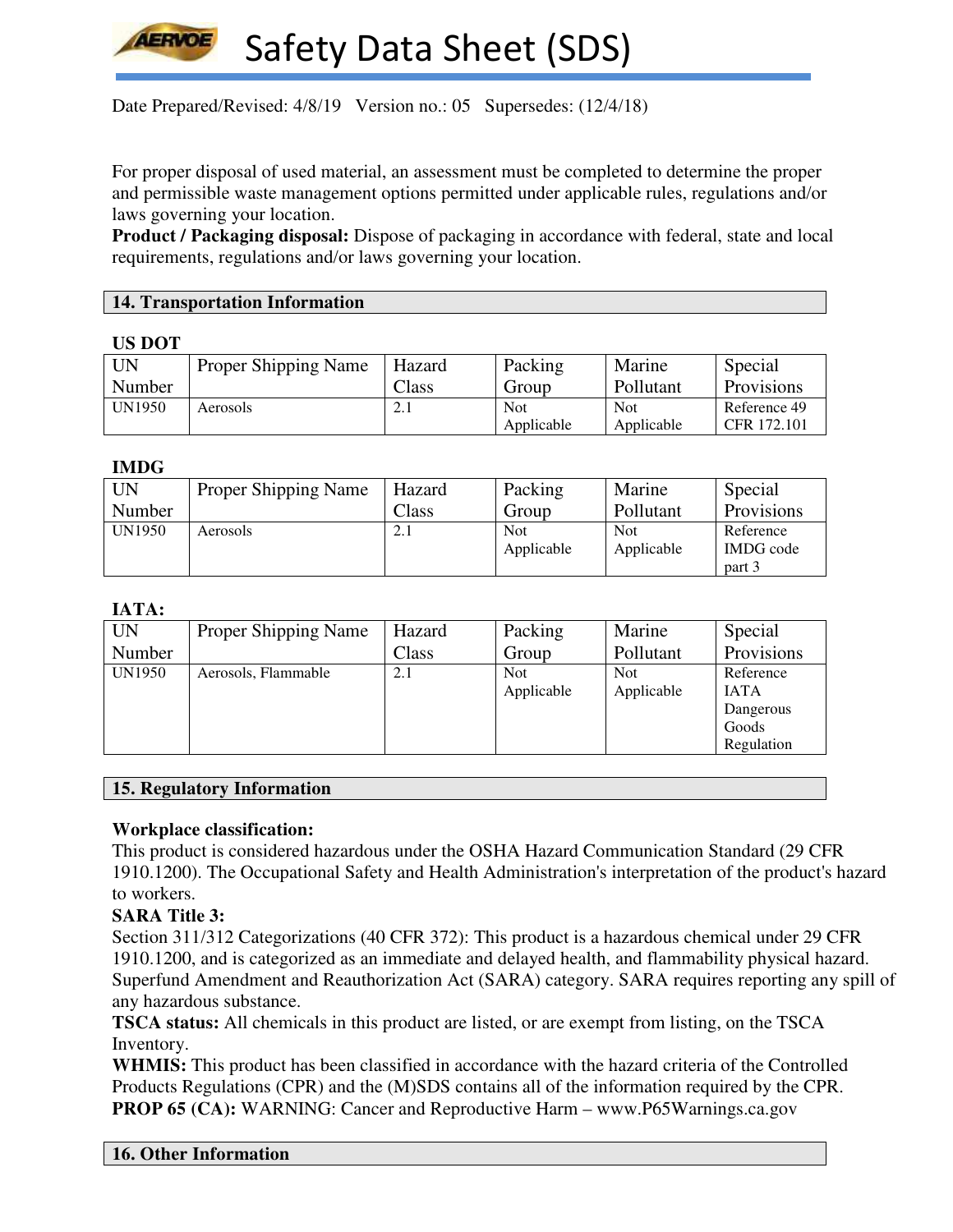

Date Prepared/Revised:  $4/8/19$  Version no.: 05 Supersedes: (12/4/18)

For proper disposal of used material, an assessment must be completed to determine the proper and permissible waste management options permitted under applicable rules, regulations and/or laws governing your location.

**Product / Packaging disposal:** Dispose of packaging in accordance with federal, state and local requirements, regulations and/or laws governing your location.

#### **14. Transportation Information**

#### **US DOT**

| <b>UN</b> | <b>Proper Shipping Name</b> | Hazard             | Packing    | Marine     | Special      |
|-----------|-----------------------------|--------------------|------------|------------|--------------|
| Number    |                             | Class              | Group      | Pollutant  | Provisions   |
| UN1950    | Aerosols                    | $\overline{2}$ . 1 | Not        | <b>Not</b> | Reference 49 |
|           |                             |                    | Applicable | Applicable | CFR 172.101  |

#### **IMDG**

| UN     | <b>Proper Shipping Name</b> | Hazard | Packing                  | Marine                   | Special                                 |
|--------|-----------------------------|--------|--------------------------|--------------------------|-----------------------------------------|
| Number |                             | Class  | Group                    | Pollutant                | Provisions                              |
| UN1950 | Aerosols                    | 2.1    | <b>Not</b><br>Applicable | <b>Not</b><br>Applicable | Reference<br><b>IMDG</b> code<br>part 3 |

## **IATA:**

| <b>UN</b> | Proper Shipping Name | Hazard | Packing                  | Marine                   | Special                                                      |
|-----------|----------------------|--------|--------------------------|--------------------------|--------------------------------------------------------------|
| Number    |                      | Class  | Group                    | Pollutant                | Provisions                                                   |
| UN1950    | Aerosols, Flammable  | 2.1    | <b>Not</b><br>Applicable | <b>Not</b><br>Applicable | Reference<br><b>IATA</b><br>Dangerous<br>Goods<br>Regulation |

#### **15. Regulatory Information**

## **Workplace classification:**

This product is considered hazardous under the OSHA Hazard Communication Standard (29 CFR 1910.1200). The Occupational Safety and Health Administration's interpretation of the product's hazard to workers.

## **SARA Title 3:**

Section 311/312 Categorizations (40 CFR 372): This product is a hazardous chemical under 29 CFR 1910.1200, and is categorized as an immediate and delayed health, and flammability physical hazard. Superfund Amendment and Reauthorization Act (SARA) category. SARA requires reporting any spill of any hazardous substance.

**TSCA status:** All chemicals in this product are listed, or are exempt from listing, on the TSCA Inventory.

**WHMIS:** This product has been classified in accordance with the hazard criteria of the Controlled Products Regulations (CPR) and the (M)SDS contains all of the information required by the CPR. **PROP 65 (CA):** WARNING: Cancer and Reproductive Harm – www.P65Warnings.ca.gov